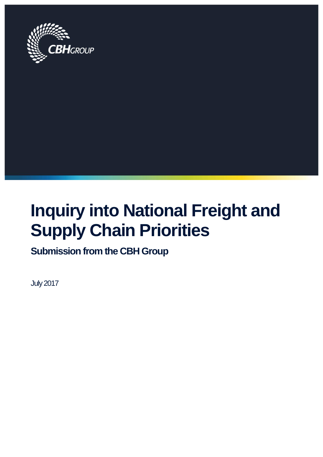

# **Inquiry into National Freight and Supply Chain Priorities**

**Submission from the CBH Group**

July 2017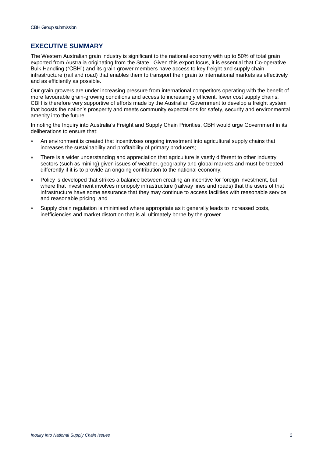# **EXECUTIVE SUMMARY**

The Western Australian grain industry is significant to the national economy with up to 50% of total grain exported from Australia originating from the State. Given this export focus, it is essential that Co-operative Bulk Handling ("CBH") and its grain grower members have access to key freight and supply chain infrastructure (rail and road) that enables them to transport their grain to international markets as effectively and as efficiently as possible.

Our grain growers are under increasing pressure from international competitors operating with the benefit of more favourable grain-growing conditions and access to increasingly efficient, lower cost supply chains. CBH is therefore very supportive of efforts made by the Australian Government to develop a freight system that boosts the nation's prosperity and meets community expectations for safety, security and environmental amenity into the future.

In noting the Inquiry into Australia's Freight and Supply Chain Priorities, CBH would urge Government in its deliberations to ensure that:

- An environment is created that incentivises ongoing investment into agricultural supply chains that increases the sustainability and profitability of primary producers;
- There is a wider understanding and appreciation that agriculture is vastly different to other industry sectors (such as mining) given issues of weather, geography and global markets and must be treated differently if it is to provide an ongoing contribution to the national economy;
- Policy is developed that strikes a balance between creating an incentive for foreign investment, but where that investment involves monopoly infrastructure (railway lines and roads) that the users of that infrastructure have some assurance that they may continue to access facilities with reasonable service and reasonable pricing: and
- Supply chain regulation is minimised where appropriate as it generally leads to increased costs, inefficiencies and market distortion that is all ultimately borne by the grower.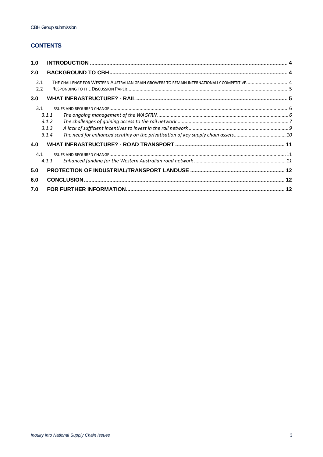# **CONTENTS**

| 1.0        |       |                                                                                           |  |
|------------|-------|-------------------------------------------------------------------------------------------|--|
| 2.0        |       |                                                                                           |  |
| 2.1<br>2.2 |       | THE CHALLENGE FOR WESTERN AUSTRALIAN GRAIN GROWERS TO REMAIN INTERNATIONALLY COMPETITIVE4 |  |
| 3.0        |       |                                                                                           |  |
| 3.1        |       |                                                                                           |  |
|            | 3.1.1 |                                                                                           |  |
|            | 3.1.2 |                                                                                           |  |
|            | 3.1.3 |                                                                                           |  |
|            | 3.1.4 |                                                                                           |  |
| 4.0        |       |                                                                                           |  |
| 4.1        |       |                                                                                           |  |
|            | 4.1.1 |                                                                                           |  |
| 5.0        |       |                                                                                           |  |
| 6.0        |       |                                                                                           |  |
| 7.0        |       |                                                                                           |  |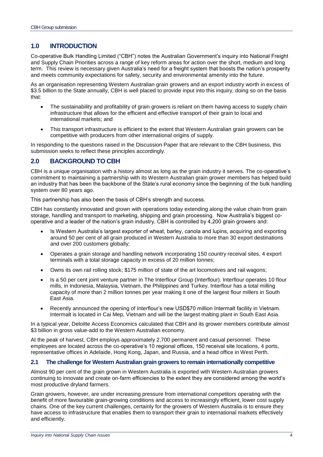# <span id="page-3-0"></span>**1.0 INTRODUCTION**

Co-operative Bulk Handling Limited ("CBH") notes the Australian Government's inquiry into National Freight and Supply Chain Priorities across a range of key reform areas for action over the short, medium and long term. This review is necessary given Australia's need for a freight system that boosts the nation's prosperity and meets community expectations for safety, security and environmental amenity into the future.

As an organisation representing Western Australian grain growers and an export industry worth in excess of \$3.5 billion to the State annually, CBH is well placed to provide input into this inquiry, doing so on the basis that:

- The sustainability and profitability of grain growers is reliant on them having access to supply chain infrastructure that allows for the efficient and effective transport of their grain to local and international markets; and
- This transport infrastructure is efficient to the extent that Western Australian grain growers can be competitive with producers from other international origins of supply.

In responding to the questions raised in the Discussion Paper that are relevant to the CBH business, this submission seeks to reflect these principles accordingly.

# <span id="page-3-1"></span>**2.0 BACKGROUND TO CBH**

CBH is a unique organisation with a history almost as long as the grain industry it serves. The co-operative's commitment to maintaining a partnership with its Western Australian grain grower members has helped build an industry that has been the backbone of the State's rural economy since the beginning of the bulk handling system over 80 years ago.

This partnership has also been the basis of CBH's strength and success.

CBH has constantly innovated and grown with operations today extending along the value chain from grain storage, handling and transport to marketing, shipping and grain processing. Now Australia's biggest cooperative and a leader of the nation's grain industry, CBH is controlled by 4,200 grain growers and:

- Is Western Australia's largest exporter of wheat, barley, canola and lupins, acquiring and exporting around 50 per cent of all grain produced in Western Australia to more than 30 export destinations and over 200 customers globally;
- Operates a grain storage and handling network incorporating 150 country receival sites, 4 export terminals with a total storage capacity in excess of 20 million tonnes;
- Owns its own rail rolling stock; \$175 million of state of the art locomotives and rail wagons;
- Is a 50 per cent joint venture partner in The Interflour Group (Interflour). Interflour operates 10 flour mills, in Indonesia, Malaysia, Vietnam, the Philippines and Turkey. Interflour has a total milling capacity of more than 2 million tonnes per year making it one of the largest flour millers in South East Asia.
- Recently announced the opening of Interflour's new USD\$70 million Intermalt facility in Vietnam. Intermalt is located in Cai Mep, Vietnam and will be the largest malting plant in South East Asia.

In a typical year, Deloitte Access Economics calculated that CBH and its grower members contribute almost \$3 billion in gross value-add to the Western Australian economy.

At the peak of harvest, CBH employs approximately 2,700 permanent and casual personnel. These employees are located across the co-operative's 10 regional offices, 150 receival site locations, 4 ports, representative offices in Adelaide, Hong Kong, Japan, and Russia, and a head office in West Perth.

#### <span id="page-3-2"></span>**2.1 The challenge for Western Australian grain growers to remain internationally competitive**

Almost 90 per cent of the grain grown in Western Australia is exported with Western Australian growers continuing to innovate and create on-farm efficiencies to the extent they are considered among the world's most productive dryland farmers.

Grain growers, however, are under increasing pressure from international competitors operating with the benefit of more favourable grain-growing conditions and access to increasingly efficient, lower cost supply chains. One of the key current challenges, certainly for the growers of Western Australia is to ensure they have access to infrastructure that enables them to transport their grain to international markets effectively and efficiently.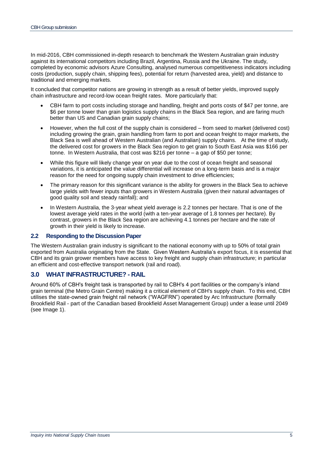In mid-2016, CBH commissioned in-depth research to benchmark the Western Australian grain industry against its international competitors including Brazil, Argentina, Russia and the Ukraine. The study, completed by economic advisors Azure Consulting, analysed numerous competitiveness indicators including costs (production, supply chain, shipping fees), potential for return (harvested area, yield) and distance to traditional and emerging markets.

It concluded that competitor nations are growing in strength as a result of better yields, improved supply chain infrastructure and record-low ocean freight rates. More particularly that:

- CBH farm to port costs including storage and handling, freight and ports costs of \$47 per tonne, are \$6 per tonne lower than grain logistics supply chains in the Black Sea region, and are faring much better than US and Canadian grain supply chains;
- However, when the full cost of the supply chain is considered from seed to market (delivered cost) including growing the grain, grain handling from farm to port and ocean freight to major markets, the Black Sea is well ahead of Western Australian (and Australian) supply chains. At the time of study, the delivered cost for growers in the Black Sea region to get grain to South East Asia was \$166 per tonne. In Western Australia, that cost was \$216 per tonne – a gap of \$50 per tonne;
- While this figure will likely change year on year due to the cost of ocean freight and seasonal variations, it is anticipated the value differential will increase on a long-term basis and is a major reason for the need for ongoing supply chain investment to drive efficiencies;
- The primary reason for this significant variance is the ability for growers in the Black Sea to achieve large yields with fewer inputs than growers in Western Australia (given their natural advantages of good quality soil and steady rainfall); and
- In Western Australia, the 3-year wheat yield average is 2.2 tonnes per hectare. That is one of the lowest average yield rates in the world (with a ten-year average of 1.8 tonnes per hectare). By contrast, growers in the Black Sea region are achieving 4.1 tonnes per hectare and the rate of growth in their yield is likely to increase.

#### <span id="page-4-0"></span>**2.2 Responding to the Discussion Paper**

The Western Australian grain industry is significant to the national economy with up to 50% of total grain exported from Australia originating from the State. Given Western Australia's export focus, it is essential that CBH and its grain grower members have access to key freight and supply chain infrastructure; in particular an efficient and cost-effective transport network (rail and road).

## <span id="page-4-1"></span>**3.0 WHAT INFRASTRUCTURE? - RAIL**

Around 60% of CBH's freight task is transported by rail to CBH's 4 port facilities or the company's inland grain terminal (the Metro Grain Centre) making it a critical element of CBH's supply chain. To this end, CBH utilises the state-owned grain freight rail network ("WAGFRN") operated by Arc Infrastructure (formally Brookfield Rail - part of the Canadian based Brookfield Asset Management Group) under a lease until 2049 (see Image 1).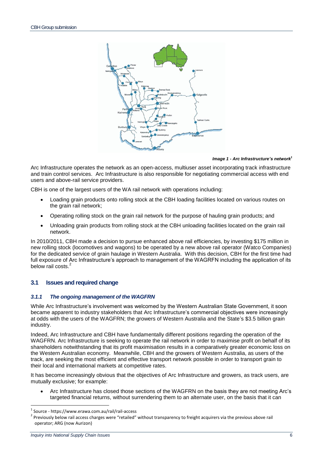

*Image 1 - Arc Infrastructure's network<sup>1</sup>*

Arc Infrastructure operates the network as an open-access, multiuser asset incorporating track infrastructure and train control services. Arc Infrastructure is also responsible for negotiating commercial access with end users and above-rail service providers.

CBH is one of the largest users of the WA rail network with operations including:

- Loading grain products onto rolling stock at the CBH loading facilities located on various routes on the grain rail network;
- Operating rolling stock on the grain rail network for the purpose of hauling grain products; and
- Unloading grain products from rolling stock at the CBH unloading facilities located on the grain rail network.

In 2010/2011, CBH made a decision to pursue enhanced above rail efficiencies, by investing \$175 million in new rolling stock (locomotives and wagons) to be operated by a new above rail operator (Watco Companies) for the dedicated service of grain haulage in Western Australia. With this decision, CBH for the first time had full exposure of Arc Infrastructure's approach to management of the WAGRFN including the application of its below rail costs.

## <span id="page-5-1"></span><span id="page-5-0"></span>**3.1 Issues and required change**

#### *3.1.1 The ongoing management of the WAGFRN*

While Arc Infrastructure's involvement was welcomed by the Western Australian State Government, it soon became apparent to industry stakeholders that Arc Infrastructure's commercial objectives were increasingly at odds with the users of the WAGFRN; the growers of Western Australia and the State's \$3.5 billion grain industry.

Indeed, Arc Infrastructure and CBH have fundamentally different positions regarding the operation of the WAGFRN. Arc Infrastructure is seeking to operate the rail network in order to maximise profit on behalf of its shareholders notwithstanding that its profit maximisation results in a comparatively greater economic loss on the Western Australian economy. Meanwhile, CBH and the growers of Western Australia, as users of the track, are seeking the most efficient and effective transport network possible in order to transport grain to their local and international markets at competitive rates.

It has become increasingly obvious that the objectives of Arc Infrastructure and growers, as track users, are mutually exclusive; for example:

 Arc Infrastructure has closed those sections of the WAGFRN on the basis they are not meeting Arc's targeted financial returns, without surrendering them to an alternate user, on the basis that it can

 $\overline{a}$ 

<sup>1</sup> Source - https://www.erawa.com.au/rail/rail-access

<sup>2</sup> Previously below rail access charges were "retailed" without transparency to freight acquirers via the previous above rail operator; ARG (now Aurizon)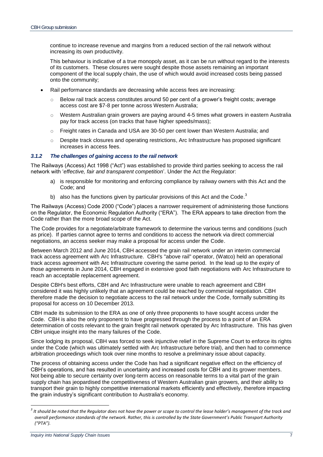continue to increase revenue and margins from a reduced section of the rail network without increasing its own productivity.

This behaviour is indicative of a true monopoly asset, as it can be run without regard to the interests of its customers. These closures were sought despite those assets remaining an important component of the local supply chain, the use of which would avoid increased costs being passed onto the community;

- Rail performance standards are decreasing while access fees are increasing:
	- $\circ$  Below rail track access constitutes around 50 per cent of a grower's freight costs; average access cost are \$7-8 per tonne across Western Australia;
	- $\circ$  Western Australian grain growers are paying around 4-5 times what growers in eastern Australia pay for track access (on tracks that have higher speeds/mass);
	- $\circ$  Freight rates in Canada and USA are 30-50 per cent lower than Western Australia; and
	- $\circ$  Despite track closures and operating restrictions, Arc Infrastructure has proposed significant increases in access fees.

#### <span id="page-6-0"></span>*3.1.2 The challenges of gaining access to the rail network*

The Railways (Access) Act 1998 ("Act") was established to provide third parties seeking to access the rail network with '*effective, fair and transparent competition*'. Under the Act the Regulator:

- a) is responsible for monitoring and enforcing compliance by railway owners with this Act and the Code; and
- b) also has the functions given by particular provisions of this Act and the Code.<sup>3</sup>

The Railways (Access) Code 2000 ("Code") places a narrower requirement of administering those functions on the Regulator, the Economic Regulation Authority ("ERA"). The ERA appears to take direction from the Code rather than the more broad scope of the Act.

The Code provides for a negotiate/arbitrate framework to determine the various terms and conditions (such as price). If parties cannot agree to terms and conditions to access the network via direct commercial negotiations, an access seeker may make a proposal for access under the Code.

Between March 2012 and June 2014, CBH accessed the grain rail network under an interim commercial track access agreement with Arc Infrastructure. CBH's "above rail" operator, (Watco) held an operational track access agreement with Arc Infrastructure covering the same period. In the lead up to the expiry of those agreements in June 2014, CBH engaged in extensive good faith negotiations with Arc Infrastructure to reach an acceptable replacement agreement.

Despite CBH's best efforts, CBH and Arc Infrastructure were unable to reach agreement and CBH considered it was highly unlikely that an agreement could be reached by commercial negotiation. CBH therefore made the decision to negotiate access to the rail network under the Code, formally submitting its proposal for access on 10 December 2013.

CBH made its submission to the ERA as one of only three proponents to have sought access under the Code. CBH is also the only proponent to have progressed through the process to a point of an ERA determination of costs relevant to the grain freight rail network operated by Arc Infrastructure. This has given CBH unique insight into the many failures of the Code.

Since lodging its proposal, CBH was forced to seek injunctive relief in the Supreme Court to enforce its rights under the Code (which was ultimately settled with Arc Infrastructure before trial), and then had to commence arbitration proceedings which took over nine months to resolve a preliminary issue about capacity.

The process of obtaining access under the Code has had a significant negative effect on the efficiency of CBH's operations, and has resulted in uncertainty and increased costs for CBH and its grower members. Not being able to secure certainty over long-term access on reasonable terms to a vital part of the grain supply chain has jeopardised the competitiveness of Western Australian grain growers, and their ability to transport their grain to highly competitive international markets efficiently and effectively, therefore impacting the grain industry's significant contribution to Australia's economy.

 $\overline{a}$ 

 $^3$  It should be noted that the Regulator does not have the power or scope to control the lease holder's management of the track and *overall performance standards of the network. Rather, this is controlled by the State Government's Public Transport Authority ("PTA").*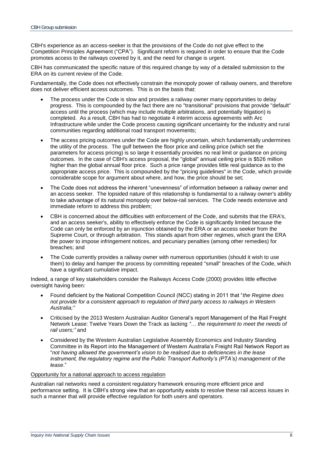CBH's experience as an access-seeker is that the provisions of the Code do not give effect to the Competition Principles Agreement ("CPA"). Significant reform is required in order to ensure that the Code promotes access to the railways covered by it, and the need for change is urgent.

CBH has communicated the specific nature of this required change by way of a detailed submission to the ERA on its current review of the Code.

Fundamentally, the Code does not effectively constrain the monopoly power of railway owners, and therefore does not deliver efficient access outcomes. This is on the basis that:

- The process under the Code is slow and provides a railway owner many opportunities to delay progress. This is compounded by the fact there are no "transitional" provisions that provide "default" access until the process (which may include multiple arbitrations, and potentially litigation) is completed. As a result, CBH has had to negotiate 4 interim access agreements with Arc Infrastructure while under the Code process causing significant uncertainty for the industry and rural communities regarding additional road transport movements;
- The access pricing outcomes under the Code are highly uncertain, which fundamentally undermines the utility of the process. The gulf between the floor price and ceiling price (which set the parameters for access pricing) is so large it essentially provides no real limit or guidance on pricing outcomes. In the case of CBH's access proposal, the "global" annual ceiling price is \$526 million higher than the global annual floor price. Such a price range provides little real guidance as to the appropriate access price. This is compounded by the "pricing guidelines" in the Code, which provide considerable scope for argument about where, and how, the price should be set;
- The Code does not address the inherent "unevenness" of information between a railway owner and an access seeker. The lopsided nature of this relationship is fundamental to a railway owner's ability to take advantage of its natural monopoly over below-rail services. The Code needs extensive and immediate reform to address this problem;
- CBH is concerned about the difficulties with enforcement of the Code, and submits that the ERA's, and an access seeker's, ability to effectively enforce the Code is significantly limited because the Code can only be enforced by an injunction obtained by the ERA or an access seeker from the Supreme Court, or through arbitration. This stands apart from other regimes, which grant the ERA the power to impose infringement notices, and pecuniary penalties (among other remedies) for breaches; and
- The Code currently provides a railway owner with numerous opportunities (should it wish to use them) to delay and hamper the process by committing repeated "small" breaches of the Code, which have a significant cumulative impact.

Indeed, a range of key stakeholders consider the Railways Access Code (2000) provides little effective oversight having been:

- Found deficient by the National Competition Council (NCC) stating in 2011 that "*the Regime does not provide for a consistent approach to regulation of third party access to railways in Western Australia;"*
- Criticised by the 2013 Western Australian Auditor General's report Management of the Rail Freight Network Lease: Twelve Years Down the Track as lacking *"… the requirement to meet the needs of rail users;"* and
- Considered by the Western Australian Legislative Assembly Economics and Industry Standing Committee in its Report into the Management of Western Australia's Freight Rail Network Report as "*not having allowed the government's vision to be realised due to deficiencies in the lease instrument, the regulatory regime and the Public Transport Authority's (PTA's) management of the lease*."

#### Opportunity for a national approach to access regulation

Australian rail networks need a consistent regulatory framework ensuring more efficient price and performance setting. It is CBH's strong view that an opportunity exists to resolve these rail access issues in such a manner that will provide effective regulation for both users and operators.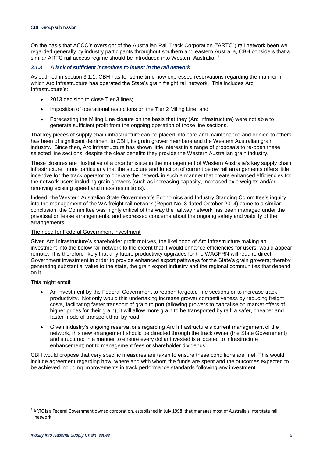On the basis that ACCC's oversight of the Australian Rail Track Corporation ("ARTC") rail network been well regarded generally by industry participants throughout southern and eastern Australia, CBH considers that a similar ARTC rail access regime should be introduced into Western Australia. <sup>4</sup>

#### <span id="page-8-0"></span>*3.1.3 A lack of sufficient incentives to invest in the rail network*

As outlined in section 3.1.1, CBH has for some time now expressed reservations regarding the manner in which Arc Infrastructure has operated the State's grain freight rail network. This includes Arc Infrastructure's:

- 2013 decision to close Tier 3 lines;
- Imposition of operational restrictions on the Tier 2 Miling Line; and
- Forecasting the Miling Line closure on the basis that they (Arc Infrastructure) were not able to generate sufficient profit from the ongoing operation of those line sections.

That key pieces of supply chain infrastructure can be placed into care and maintenance and denied to others has been of significant detriment to CBH, its grain grower members and the Western Australian grain industry. Since then, Arc Infrastructure has shown little interest in a range of proposals to re-open these selected line sections, despite the clear benefits they provide the Western Australian grain industry.

These closures are illustrative of a broader issue in the management of Western Australia's key supply chain infrastructure; more particularly that the structure and function of current below rail arrangements offers little incentive for the track operator to operate the network in such a manner that create enhanced efficiencies for the network users including grain growers (such as increasing capacity, increased axle weights and/or removing existing speed and mass restrictions).

Indeed, the Western Australian State Government's Economics and Industry Standing Committee's inquiry into the management of the WA freight rail network (Report No. 3 dated October 2014) came to a similar conclusion; the Committee was highly critical of the way the railway network has been managed under the privatisation lease arrangements, and expressed concerns about the ongoing safety and viability of the arrangements.

#### The need for Federal Government investment

Given Arc Infrastructure's shareholder profit motives, the likelihood of Arc Infrastructure making an investment into the below rail network to the extent that it would enhance efficiencies for users, would appear remote. It is therefore likely that any future productivity upgrades for the WAGFRN will require direct Government investment in order to provide enhanced export pathways for the State's grain growers; thereby generating substantial value to the state, the grain export industry and the regional communities that depend on it.

This might entail:

 $\overline{\phantom{a}}$ 

- An investment by the Federal Government to reopen targeted line sections or to increase track productivity. Not only would this undertaking increase grower competitiveness by reducing freight costs, facilitating faster transport of grain to port (allowing growers to capitalise on market offers of higher prices for their grain), it will allow more grain to be transported by rail; a safer, cheaper and faster mode of transport than by road;
- Given industry's ongoing reservations regarding Arc Infrastructure's current management of the network, this new arrangement should be directed through the track owner (the State Government) and structured in a manner to ensure every dollar invested is allocated to infrastructure enhancement; not to management fees or shareholder dividends.

CBH would propose that very specific measures are taken to ensure these conditions are met. This would include agreement regarding how, where and with whom the funds are spent and the outcomes expected to be achieved including improvements in track performance standards following any investment.

<sup>&</sup>lt;sup>4</sup> ARTC is a Federal Government owned corporation, established in July 1998, that manages most of Australia's interstate rail network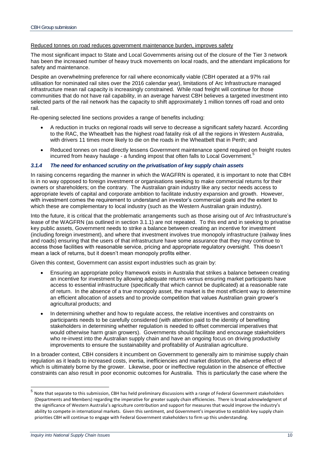#### Reduced tonnes on road reduces government maintenance burden, improves safety

The most significant impact to State and Local Governments arising out of the closure of the Tier 3 network has been the increased number of heavy truck movements on local roads, and the attendant implications for safety and maintenance.

Despite an overwhelming preference for rail where economically viable (CBH operated at a 97% rail utilisation for nominated rail sites over the 2016 calendar year), limitations of Arc Infrastructure managed infrastructure mean rail capacity is increasingly constrained. While road freight will continue for those communities that do not have rail capability, in an average harvest CBH believes a targeted investment into selected parts of the rail network has the capacity to shift approximately 1 million tonnes off road and onto rail.

Re-opening selected line sections provides a range of benefits including:

- A reduction in trucks on regional roads will serve to decrease a significant safety hazard. According to the RAC, the Wheatbelt has the highest road fatality risk of all the regions in Western Australia, with drivers 11 times more likely to die on the roads in the Wheatbelt that in Perth; and
- Reduced tonnes on road directly lessens Government maintenance spend required on freight routes incurred from heavy haulage - a funding impost that often falls to Local Government.<sup>5</sup>

#### <span id="page-9-0"></span>*3.1.4 The need for enhanced scrutiny on the privatisation of key supply chain assets*

In raising concerns regarding the manner in which the WAGFRN is operated, it is important to note that CBH is in no way opposed to foreign investment or organisations seeking to make commercial returns for their owners or shareholders; on the contrary. The Australian grain industry like any sector needs access to appropriate levels of capital and corporate ambition to facilitate industry expansion and growth. However, with investment comes the requirement to understand an investor's commercial goals and the extent to which these are complementary to local industry (such as the Western Australian grain industry).

Into the future, it is critical that the problematic arrangements such as those arising out of Arc Infrastructure's lease of the WAGFRN (as outlined in section 3.1.1) are not repeated. To this end and in seeking to privatise key public assets, Government needs to strike a balance between creating an incentive for investment (including foreign investment), and where that investment involves true monopoly infrastructure (railway lines and roads) ensuring that the users of that infrastructure have some assurance that they may continue to access those facilities with reasonable service, pricing and appropriate regulatory oversight. This doesn't mean a lack of returns, but it doesn't mean monopoly profits either.

Given this context, Government can assist export industries such as grain by:

- Ensuring an appropriate policy framework exists in Australia that strikes a balance between creating an incentive for investment by allowing adequate returns versus ensuring market participants have access to essential infrastructure (specifically that which cannot be duplicated) at a reasonable rate of return. In the absence of a true monopoly asset, the market is the most efficient way to determine an efficient allocation of assets and to provide competition that values Australian grain grower's agricultural products; and
- In determining whether and how to regulate access, the relative incentives and constraints on participants needs to be carefully considered (with attention paid to the identity of benefiting stakeholders in determining whether regulation is needed to offset commercial imperatives that would otherwise harm grain growers). Governments should facilitate and encourage stakeholders who re-invest into the Australian supply chain and have an ongoing focus on driving productivity improvements to ensure the sustainability and profitability of Australian agriculture.

In a broader context, CBH considers it incumbent on Government to generally aim to minimise supply chain regulation as it leads to increased costs, inertia, inefficiencies and market distortion, the adverse effect of which is ultimately borne by the grower. Likewise, poor or ineffective regulation in the absence of effective constraints can also result in poor economic outcomes for Australia. This is particularly the case where the

 5 Note that separate to this submission, CBH has held preliminary discussions with a range of Federal Government stakeholders (Departments and Members) regarding the imperative for greater supply chain efficiencies. There is broad acknowledgment of the significance of Western Australia's agriculture contribution and support for measures that would improve the industry's ability to compete in international markets. Given this sentiment, and Government's imperative to establish key supply chain priorities CBH will continue to engage with Federal Government stakeholders to firm up this understanding.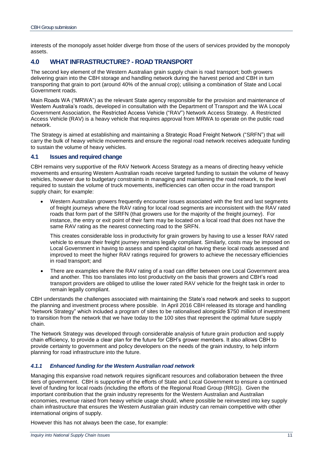interests of the monopoly asset holder diverge from those of the users of services provided by the monopoly assets.

## <span id="page-10-0"></span>**4.0 WHAT INFRASTRUCTURE? - ROAD TRANSPORT**

The second key element of the Western Australian grain supply chain is road transport; both growers delivering grain into the CBH storage and handling network during the harvest period and CBH in turn transporting that grain to port (around 40% of the annual crop); utilising a combination of State and Local Government roads.

Main Roads WA ("MRWA") as the relevant State agency responsible for the provision and maintenance of Western Australia's roads, developed in consultation with the Department of Transport and the WA Local Government Association, the Restricted Access Vehicle ("RAV") Network Access Strategy. A Restricted Access Vehicle (RAV) is a heavy vehicle that requires approval from MRWA to operate on the public road network.

The Strategy is aimed at establishing and maintaining a Strategic Road Freight Network ("SRFN") that will carry the bulk of heavy vehicle movements and ensure the regional road network receives adequate funding to sustain the volume of heavy vehicles.

#### <span id="page-10-1"></span>**4.1 Issues and required change**

CBH remains very supportive of the RAV Network Access Strategy as a means of directing heavy vehicle movements and ensuring Western Australian roads receive targeted funding to sustain the volume of heavy vehicles, however due to budgetary constraints in managing and maintaining the road network, to the level required to sustain the volume of truck movements, inefficiencies can often occur in the road transport supply chain; for example:

 Western Australian growers frequently encounter issues associated with the first and last segments of freight journeys where the RAV rating for local road segments are inconsistent with the RAV rated roads that form part of the SRFN (that growers use for the majority of the freight journey). For instance, the entry or exit point of their farm may be located on a local road that does not have the same RAV rating as the nearest connecting road to the SRFN.

This creates considerable loss in productivity for grain growers by having to use a lesser RAV rated vehicle to ensure their freight journey remains legally compliant. Similarly, costs may be imposed on Local Government in having to assess and spend capital on having these local roads assessed and improved to meet the higher RAV ratings required for growers to achieve the necessary efficiencies in road transport; and

• There are examples where the RAV rating of a road can differ between one Local Government area and another. This too translates into lost productivity on the basis that growers and CBH's road transport providers are obliged to utilise the lower rated RAV vehicle for the freight task in order to remain legally compliant.

CBH understands the challenges associated with maintaining the State's road network and seeks to support the planning and investment process where possible. In April 2016 CBH released its storage and handling "Network Strategy" which included a program of sites to be rationalised alongside \$750 million of investment to transition from the network that we have today to the 100 sites that represent the optimal future supply chain.

The Network Strategy was developed through considerable analysis of future grain production and supply chain efficiency, to provide a clear plan for the future for CBH's grower members. It also allows CBH to provide certainty to government and policy developers on the needs of the grain industry, to help inform planning for road infrastructure into the future.

#### <span id="page-10-2"></span>*4.1.1 Enhanced funding for the Western Australian road network*

Managing this expansive road network requires significant resources and collaboration between the three tiers of government. CBH is supportive of the efforts of State and Local Government to ensure a continued level of funding for local roads (including the efforts of the Regional Road Group (RRG)). Given the important contribution that the grain industry represents for the Western Australian and Australian economies, revenue raised from heavy vehicle usage should, where possible be reinvested into key supply chain infrastructure that ensures the Western Australian grain industry can remain competitive with other international origins of supply.

However this has not always been the case, for example: